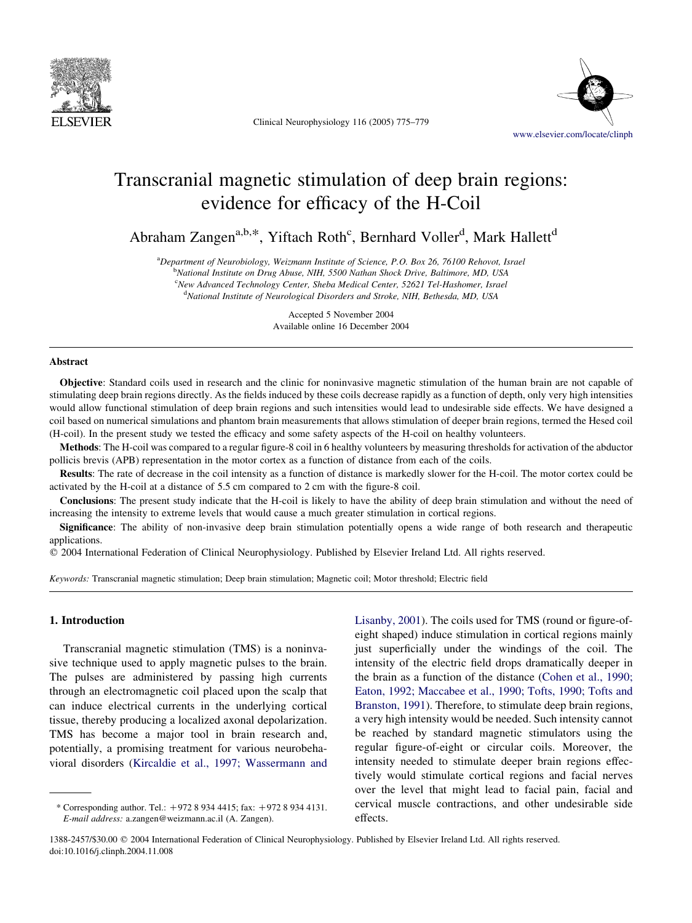

Clinical Neurophysiology 116 (2005) 775–779



# Transcranial magnetic stimulation of deep brain regions: evidence for efficacy of the H-Coil

Abraham Zangen<sup>a,b,\*</sup>, Yiftach Roth<sup>c</sup>, Bernhard Voller<sup>d</sup>, Mark Hallett<sup>d</sup>

<sup>a</sup>Department of Neurobiology, Weizmann Institute of Science, P.O. Box 26, 76100 Rehovot, Israel <sup>b</sup>National Institute on Drug Abuse, NIH, 5500 Nathan Shock Drive, Baltimore, MD, USA

<sup>c</sup>New Advanced Technology Center, Sheba Medical Center, 52621 Tel-Hashomer, Israel

<sup>d</sup>National Institute of Neurological Disorders and Stroke, NIH, Bethesda, MD, USA

Accepted 5 November 2004 Available online 16 December 2004

#### Abstract

Objective: Standard coils used in research and the clinic for noninvasive magnetic stimulation of the human brain are not capable of stimulating deep brain regions directly. As the fields induced by these coils decrease rapidly as a function of depth, only very high intensities would allow functional stimulation of deep brain regions and such intensities would lead to undesirable side effects. We have designed a coil based on numerical simulations and phantom brain measurements that allows stimulation of deeper brain regions, termed the Hesed coil (H-coil). In the present study we tested the efficacy and some safety aspects of the H-coil on healthy volunteers.

Methods: The H-coil was compared to a regular figure-8 coil in 6 healthy volunteers by measuring thresholds for activation of the abductor pollicis brevis (APB) representation in the motor cortex as a function of distance from each of the coils.

Results: The rate of decrease in the coil intensity as a function of distance is markedly slower for the H-coil. The motor cortex could be activated by the H-coil at a distance of 5.5 cm compared to 2 cm with the figure-8 coil.

Conclusions: The present study indicate that the H-coil is likely to have the ability of deep brain stimulation and without the need of increasing the intensity to extreme levels that would cause a much greater stimulation in cortical regions.

Significance: The ability of non-invasive deep brain stimulation potentially opens a wide range of both research and therapeutic applications.

 $Q$  2004 International Federation of Clinical Neurophysiology. Published by Elsevier Ireland Ltd. All rights reserved.

Keywords: Transcranial magnetic stimulation; Deep brain stimulation; Magnetic coil; Motor threshold; Electric field

## 1. Introduction

Transcranial magnetic stimulation (TMS) is a noninvasive technique used to apply magnetic pulses to the brain. The pulses are administered by passing high currents through an electromagnetic coil placed upon the scalp that can induce electrical currents in the underlying cortical tissue, thereby producing a localized axonal depolarization. TMS has become a major tool in brain research and, potentially, a promising treatment for various neurobehavioral disorders (Kircaldie et al., 1997; Wassermann and

Lisanby, 2001). The coils used for TMS (round or figure-ofeight shaped) induce stimulation in cortical regions mainly just superficially under the windings of the coil. The intensity of the electric field drops dramatically deeper in the brain as a function of the distance (Cohen et al., 1990; Eaton, 1992; Maccabee et al., 1990; Tofts, 1990; Tofts and Branston, 1991). Therefore, to stimulate deep brain regions, a very high intensity would be needed. Such intensity cannot be reached by standard magnetic stimulators using the regular figure-of-eight or circular coils. Moreover, the intensity needed to stimulate deeper brain regions effectively would stimulate cortical regions and facial nerves over the level that might lead to facial pain, facial and cervical muscle contractions, and other undesirable side effects.

<sup>\*</sup> Corresponding author. Tel.:  $+97289344415$ ; fax:  $+97289344131$ . E-mail address: a.zangen@weizmann.ac.il (A. Zangen).

<sup>1388-2457/\$30.00</sup> q 2004 International Federation of Clinical Neurophysiology. Published by Elsevier Ireland Ltd. All rights reserved. doi:10.1016/j.clinph.2004.11.008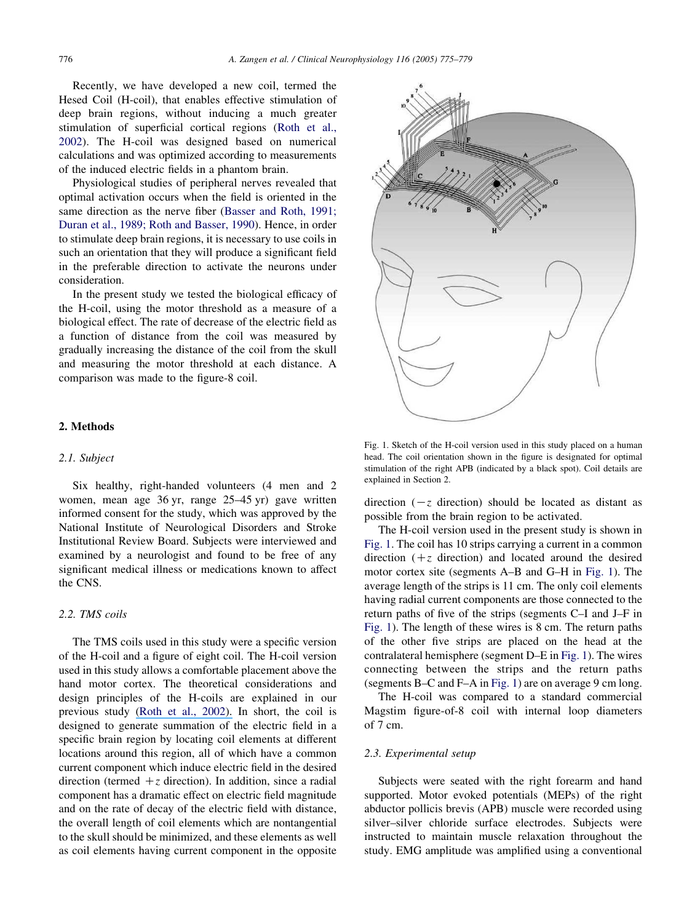Recently, we have developed a new coil, termed the Hesed Coil (H-coil), that enables effective stimulation of deep brain regions, without inducing a much greater stimulation of superficial cortical regions (Roth et al., 2002). The H-coil was designed based on numerical calculations and was optimized according to measurements of the induced electric fields in a phantom brain.

Physiological studies of peripheral nerves revealed that optimal activation occurs when the field is oriented in the same direction as the nerve fiber (Basser and Roth, 1991; Duran et al., 1989; Roth and Basser, 1990). Hence, in order to stimulate deep brain regions, it is necessary to use coils in such an orientation that they will produce a significant field in the preferable direction to activate the neurons under consideration.

In the present study we tested the biological efficacy of the H-coil, using the motor threshold as a measure of a biological effect. The rate of decrease of the electric field as a function of distance from the coil was measured by gradually increasing the distance of the coil from the skull and measuring the motor threshold at each distance. A comparison was made to the figure-8 coil.

### 2. Methods

## 2.1. Subject

Six healthy, right-handed volunteers (4 men and 2 women, mean age 36 yr, range 25–45 yr) gave written informed consent for the study, which was approved by the National Institute of Neurological Disorders and Stroke Institutional Review Board. Subjects were interviewed and examined by a neurologist and found to be free of any significant medical illness or medications known to affect the CNS.

# 2.2. TMS coils

The TMS coils used in this study were a specific version of the H-coil and a figure of eight coil. The H-coil version used in this study allows a comfortable placement above the hand motor cortex. The theoretical considerations and design principles of the H-coils are explained in our previous study [\(Roth et al., 2002\).](https://www.researchgate.net/publication/11031948_A_Coil_Design_for_Transcranial_Magnetic_Stimulation_of_Deep_Brain_Regions?el=1_x_8&enrichId=rgreq-e3c0febe-93fc-4ec6-8ea0-77d3af861b12&enrichSource=Y292ZXJQYWdlOzc5NDI4MDA7QVM6MTAyMTg1MjYyMTI1MDU5QDE0MDEzNzQyNzQwMDI=) In short, the coil is designed to generate summation of the electric field in a specific brain region by locating coil elements at different locations around this region, all of which have a common current component which induce electric field in the desired direction (termed  $+z$  direction). In addition, since a radial component has a dramatic effect on electric field magnitude and on the rate of decay of the electric field with distance, the overall length of coil elements which are nontangential to the skull should be minimized, and these elements as well as coil elements having current component in the opposite



Fig. 1. Sketch of the H-coil version used in this study placed on a human head. The coil orientation shown in the figure is designated for optimal stimulation of the right APB (indicated by a black spot). Coil details are explained in Section 2.

direction  $(-z$  direction) should be located as distant as possible from the brain region to be activated.

The H-coil version used in the present study is shown in Fig. 1. The coil has 10 strips carrying a current in a common direction  $(+z$  direction) and located around the desired motor cortex site (segments A–B and G–H in Fig. 1). The average length of the strips is 11 cm. The only coil elements having radial current components are those connected to the return paths of five of the strips (segments C–I and J–F in Fig. 1). The length of these wires is 8 cm. The return paths of the other five strips are placed on the head at the contralateral hemisphere (segment D–E in Fig. 1). The wires connecting between the strips and the return paths (segments B–C and F–A in Fig. 1) are on average 9 cm long.

The H-coil was compared to a standard commercial Magstim figure-of-8 coil with internal loop diameters of 7 cm.

# 2.3. Experimental setup

Subjects were seated with the right forearm and hand supported. Motor evoked potentials (MEPs) of the right abductor pollicis brevis (APB) muscle were recorded using silver–silver chloride surface electrodes. Subjects were instructed to maintain muscle relaxation throughout the study. EMG amplitude was amplified using a conventional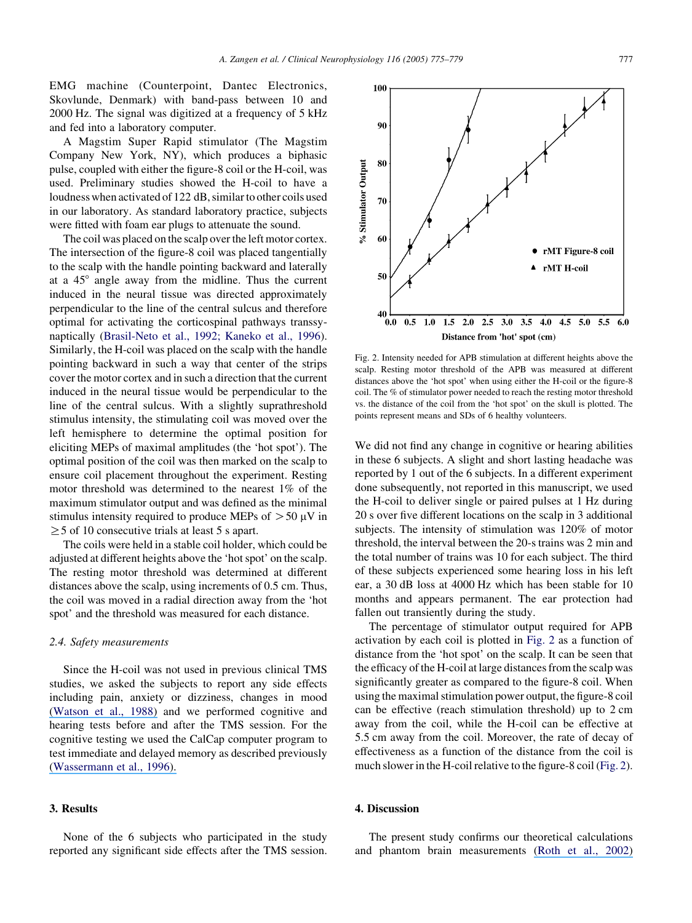A. Zangen et al. / Clinical Neurophysiology 116 (2005) 775–779 777

EMG machine (Counterpoint, Dantec Electronics, Skovlunde, Denmark) with band-pass between 10 and 2000 Hz. The signal was digitized at a frequency of 5 kHz and fed into a laboratory computer.

A Magstim Super Rapid stimulator (The Magstim Company New York, NY), which produces a biphasic pulse, coupled with either the figure-8 coil or the H-coil, was used. Preliminary studies showed the H-coil to have a loudness when activated of 122 dB, similar to other coils used in our laboratory. As standard laboratory practice, subjects were fitted with foam ear plugs to attenuate the sound.

The coil was placed on the scalp over the left motor cortex. The intersection of the figure-8 coil was placed tangentially to the scalp with the handle pointing backward and laterally at a  $45^\circ$  angle away from the midline. Thus the current induced in the neural tissue was directed approximately perpendicular to the line of the central sulcus and therefore optimal for activating the corticospinal pathways transsynaptically (Brasil-Neto et al., 1992; Kaneko et al., 1996). Similarly, the H-coil was placed on the scalp with the handle pointing backward in such a way that center of the strips cover the motor cortex and in such a direction that the current induced in the neural tissue would be perpendicular to the line of the central sulcus. With a slightly suprathreshold stimulus intensity, the stimulating coil was moved over the left hemisphere to determine the optimal position for eliciting MEPs of maximal amplitudes (the 'hot spot'). The optimal position of the coil was then marked on the scalp to ensure coil placement throughout the experiment. Resting motor threshold was determined to the nearest 1% of the maximum stimulator output and was defined as the minimal stimulus intensity required to produce MEPs of  $> 50 \mu V$  in  $\geq$  5 of 10 consecutive trials at least 5 s apart.

The coils were held in a stable coil holder, which could be adjusted at different heights above the 'hot spot' on the scalp. The resting motor threshold was determined at different distances above the scalp, using increments of 0.5 cm. Thus, the coil was moved in a radial direction away from the 'hot spot' and the threshold was measured for each distance.

#### 2.4. Safety measurements

Since the H-coil was not used in previous clinical TMS studies, we asked the subjects to report any side effects including pain, anxiety or dizziness, changes in mood [\(Watson et al., 1988\)](https://www.researchgate.net/publication/19758199_Watson_D_Clark_LA_Tellegen_A_Development_and_Validation_of_Brief_Measures_of_Positive_and_Negative_Affect_-_the_Panas_Scales_J_Pers_Soc_Psychol_54_1063-1070?el=1_x_8&enrichId=rgreq-e3c0febe-93fc-4ec6-8ea0-77d3af861b12&enrichSource=Y292ZXJQYWdlOzc5NDI4MDA7QVM6MTAyMTg1MjYyMTI1MDU5QDE0MDEzNzQyNzQwMDI=) and we performed cognitive and hearing tests before and after the TMS session. For the cognitive testing we used the CalCap computer program to test immediate and delayed memory as described previously [\(Wassermann et al., 1996\).](https://www.researchgate.net/publication/14294283_Wassermann_EM_Grafman_J_Berry_C_et_al_Use_and_safety_of_a_new_repetitive_transcranial_magnetic_stimulator?el=1_x_8&enrichId=rgreq-e3c0febe-93fc-4ec6-8ea0-77d3af861b12&enrichSource=Y292ZXJQYWdlOzc5NDI4MDA7QVM6MTAyMTg1MjYyMTI1MDU5QDE0MDEzNzQyNzQwMDI=)

# 3. Results

None of the 6 subjects who participated in the study reported any significant side effects after the TMS session.

 $4($  $0.0$  $0.5\,$  $1.0$  $1.5$   $2.0$   $2.5$   $3.0$   $3.5$   $4.0$  $4.5$  5.0 5.5 6.0 Distance from 'hot' spot (cm) Fig. 2. Intensity needed for APB stimulation at different heights above the scalp. Resting motor threshold of the APB was measured at different distances above the 'hot spot' when using either the H-coil or the figure-8 coil. The % of stimulator power needed to reach the resting motor threshold vs. the distance of the coil from the 'hot spot' on the skull is plotted. The

points represent means and SDs of 6 healthy volunteers.

We did not find any change in cognitive or hearing abilities in these 6 subjects. A slight and short lasting headache was reported by 1 out of the 6 subjects. In a different experiment done subsequently, not reported in this manuscript, we used the H-coil to deliver single or paired pulses at 1 Hz during 20 s over five different locations on the scalp in 3 additional subjects. The intensity of stimulation was 120% of motor threshold, the interval between the 20-s trains was 2 min and the total number of trains was 10 for each subject. The third of these subjects experienced some hearing loss in his left ear, a 30 dB loss at 4000 Hz which has been stable for 10 months and appears permanent. The ear protection had fallen out transiently during the study.

The percentage of stimulator output required for APB activation by each coil is plotted in Fig. 2 as a function of distance from the 'hot spot' on the scalp. It can be seen that the efficacy of the H-coil at large distances from the scalp was significantly greater as compared to the figure-8 coil. When using the maximal stimulation power output, the figure-8 coil can be effective (reach stimulation threshold) up to 2 cm away from the coil, while the H-coil can be effective at 5.5 cm away from the coil. Moreover, the rate of decay of effectiveness as a function of the distance from the coil is much slower in the H-coil relative to the figure-8 coil (Fig. 2).

#### 4. Discussion

The present study confirms our theoretical calculations and phantom brain measurements [\(Roth et al., 2002\)](https://www.researchgate.net/publication/11031948_A_Coil_Design_for_Transcranial_Magnetic_Stimulation_of_Deep_Brain_Regions?el=1_x_8&enrichId=rgreq-e3c0febe-93fc-4ec6-8ea0-77d3af861b12&enrichSource=Y292ZXJQYWdlOzc5NDI4MDA7QVM6MTAyMTg1MjYyMTI1MDU5QDE0MDEzNzQyNzQwMDI=)

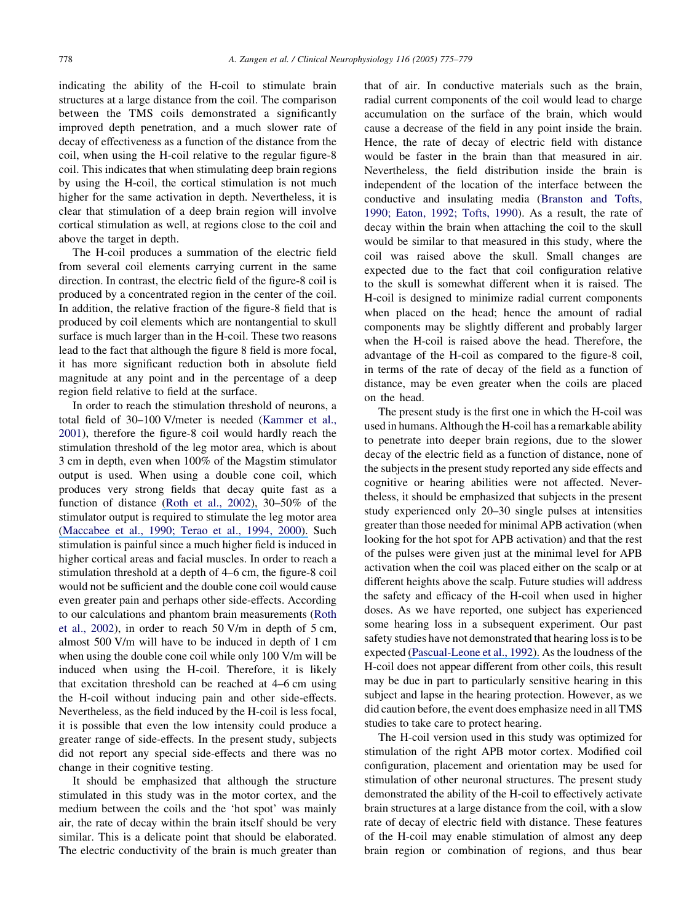indicating the ability of the H-coil to stimulate brain structures at a large distance from the coil. The comparison between the TMS coils demonstrated a significantly improved depth penetration, and a much slower rate of decay of effectiveness as a function of the distance from the coil, when using the H-coil relative to the regular figure-8 coil. This indicates that when stimulating deep brain regions by using the H-coil, the cortical stimulation is not much higher for the same activation in depth. Nevertheless, it is clear that stimulation of a deep brain region will involve cortical stimulation as well, at regions close to the coil and above the target in depth.

The H-coil produces a summation of the electric field from several coil elements carrying current in the same direction. In contrast, the electric field of the figure-8 coil is produced by a concentrated region in the center of the coil. In addition, the relative fraction of the figure-8 field that is produced by coil elements which are nontangential to skull surface is much larger than in the H-coil. These two reasons lead to the fact that although the figure 8 field is more focal, it has more significant reduction both in absolute field magnitude at any point and in the percentage of a deep region field relative to field at the surface.

In order to reach the stimulation threshold of neurons, a total field of 30–100 V/meter is needed (Kammer et al., 2001), therefore the figure-8 coil would hardly reach the stimulation threshold of the leg motor area, which is about 3 cm in depth, even when 100% of the Magstim stimulator output is used. When using a double cone coil, which produces very strong fields that decay quite fast as a function of distance [\(Roth et al., 2002\),](https://www.researchgate.net/publication/11031948_A_Coil_Design_for_Transcranial_Magnetic_Stimulation_of_Deep_Brain_Regions?el=1_x_8&enrichId=rgreq-e3c0febe-93fc-4ec6-8ea0-77d3af861b12&enrichSource=Y292ZXJQYWdlOzc5NDI4MDA7QVM6MTAyMTg1MjYyMTI1MDU5QDE0MDEzNzQyNzQwMDI=) 30–50% of the stimulator output is required to stimulate the leg motor area [\(Maccabee et al., 1990; Terao et al., 1994, 2000\).](https://www.researchgate.net/publication/15114687_Transcranial_stimulation_of_the_leg_area_of_the_motor_cortex_in_humans?el=1_x_8&enrichId=rgreq-e3c0febe-93fc-4ec6-8ea0-77d3af861b12&enrichSource=Y292ZXJQYWdlOzc5NDI4MDA7QVM6MTAyMTg1MjYyMTI1MDU5QDE0MDEzNzQyNzQwMDI=) Such stimulation is painful since a much higher field is induced in higher cortical areas and facial muscles. In order to reach a stimulation threshold at a depth of 4–6 cm, the figure-8 coil would not be sufficient and the double cone coil would cause even greater pain and perhaps other side-effects. According to our calculations and phantom brain measurements (Roth et al., 2002), in order to reach 50 V/m in depth of 5 cm, almost 500 V/m will have to be induced in depth of 1 cm when using the double cone coil while only 100 V/m will be induced when using the H-coil. Therefore, it is likely that excitation threshold can be reached at 4–6 cm using the H-coil without inducing pain and other side-effects. Nevertheless, as the field induced by the H-coil is less focal, it is possible that even the low intensity could produce a greater range of side-effects. In the present study, subjects did not report any special side-effects and there was no change in their cognitive testing.

It should be emphasized that although the structure stimulated in this study was in the motor cortex, and the medium between the coils and the 'hot spot' was mainly air, the rate of decay within the brain itself should be very similar. This is a delicate point that should be elaborated. The electric conductivity of the brain is much greater than

that of air. In conductive materials such as the brain, radial current components of the coil would lead to charge accumulation on the surface of the brain, which would cause a decrease of the field in any point inside the brain. Hence, the rate of decay of electric field with distance would be faster in the brain than that measured in air. Nevertheless, the field distribution inside the brain is independent of the location of the interface between the conductive and insulating media (Branston and Tofts, 1990; Eaton, 1992; Tofts, 1990). As a result, the rate of decay within the brain when attaching the coil to the skull would be similar to that measured in this study, where the coil was raised above the skull. Small changes are expected due to the fact that coil configuration relative to the skull is somewhat different when it is raised. The H-coil is designed to minimize radial current components when placed on the head; hence the amount of radial components may be slightly different and probably larger when the H-coil is raised above the head. Therefore, the advantage of the H-coil as compared to the figure-8 coil, in terms of the rate of decay of the field as a function of distance, may be even greater when the coils are placed on the head.

The present study is the first one in which the H-coil was used in humans. Although the H-coil has a remarkable ability to penetrate into deeper brain regions, due to the slower decay of the electric field as a function of distance, none of the subjects in the present study reported any side effects and cognitive or hearing abilities were not affected. Nevertheless, it should be emphasized that subjects in the present study experienced only 20–30 single pulses at intensities greater than those needed for minimal APB activation (when looking for the hot spot for APB activation) and that the rest of the pulses were given just at the minimal level for APB activation when the coil was placed either on the scalp or at different heights above the scalp. Future studies will address the safety and efficacy of the H-coil when used in higher doses. As we have reported, one subject has experienced some hearing loss in a subsequent experiment. Our past safety studies have not demonstrated that hearing loss is to be expected [\(Pascual-Leone et al., 1992\).](https://www.researchgate.net/publication/21606958_No_evidence_of_hearing_loss_in_humans_due_to_transcranial_magnetic_stimulation?el=1_x_8&enrichId=rgreq-e3c0febe-93fc-4ec6-8ea0-77d3af861b12&enrichSource=Y292ZXJQYWdlOzc5NDI4MDA7QVM6MTAyMTg1MjYyMTI1MDU5QDE0MDEzNzQyNzQwMDI=) As the loudness of the H-coil does not appear different from other coils, this result may be due in part to particularly sensitive hearing in this subject and lapse in the hearing protection. However, as we did caution before, the event does emphasize need in all TMS studies to take care to protect hearing.

The H-coil version used in this study was optimized for stimulation of the right APB motor cortex. Modified coil configuration, placement and orientation may be used for stimulation of other neuronal structures. The present study demonstrated the ability of the H-coil to effectively activate brain structures at a large distance from the coil, with a slow rate of decay of electric field with distance. These features of the H-coil may enable stimulation of almost any deep brain region or combination of regions, and thus bear